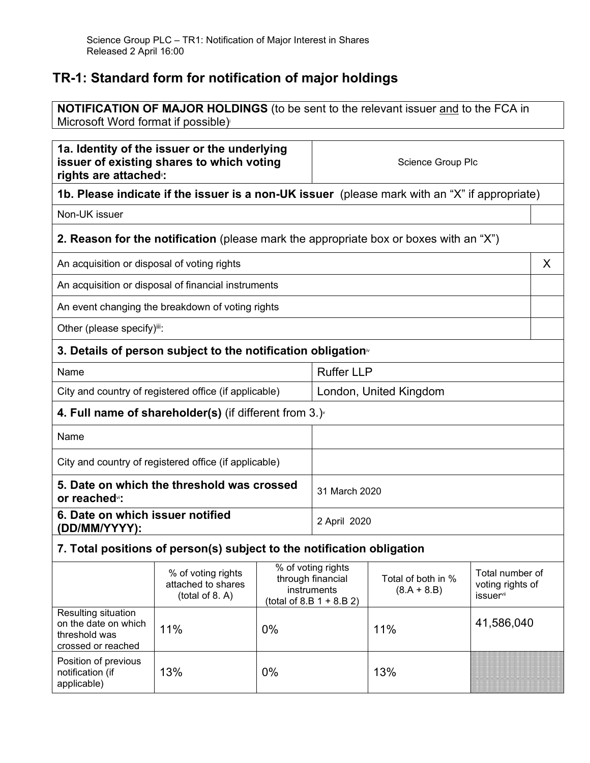## **TR-1: Standard form for notification of major holdings**

Position of previous notification (if applicable)

**NOTIFICATION OF MAJOR HOLDINGS** (to be sent to the relevant issuer and to the FCA in Microsoft Word format if possible)

| 1a. Identity of the issuer or the underlying<br>issuer of existing shares to which voting<br>rights are attached: |                                                                          |              | Science Group Plc                                                                                                                                            |                                                                                               |                                     |
|-------------------------------------------------------------------------------------------------------------------|--------------------------------------------------------------------------|--------------|--------------------------------------------------------------------------------------------------------------------------------------------------------------|-----------------------------------------------------------------------------------------------|-------------------------------------|
|                                                                                                                   |                                                                          |              |                                                                                                                                                              | 1b. Please indicate if the issuer is a non-UK issuer (please mark with an "X" if appropriate) |                                     |
| Non-UK issuer                                                                                                     |                                                                          |              |                                                                                                                                                              |                                                                                               |                                     |
|                                                                                                                   |                                                                          |              |                                                                                                                                                              | <b>2. Reason for the notification</b> (please mark the appropriate box or boxes with an "X")  |                                     |
| An acquisition or disposal of voting rights                                                                       |                                                                          |              |                                                                                                                                                              |                                                                                               | X                                   |
|                                                                                                                   | An acquisition or disposal of financial instruments                      |              |                                                                                                                                                              |                                                                                               |                                     |
|                                                                                                                   | An event changing the breakdown of voting rights                         |              |                                                                                                                                                              |                                                                                               |                                     |
| Other (please specify)iii:                                                                                        |                                                                          |              |                                                                                                                                                              |                                                                                               |                                     |
|                                                                                                                   | 3. Details of person subject to the notification obligation <sup>®</sup> |              |                                                                                                                                                              |                                                                                               |                                     |
| Name                                                                                                              |                                                                          |              | <b>Ruffer LLP</b>                                                                                                                                            |                                                                                               |                                     |
| City and country of registered office (if applicable)                                                             |                                                                          |              | London, United Kingdom                                                                                                                                       |                                                                                               |                                     |
| 4. Full name of shareholder(s) (if different from $3.$ )                                                          |                                                                          |              |                                                                                                                                                              |                                                                                               |                                     |
| Name                                                                                                              |                                                                          |              |                                                                                                                                                              |                                                                                               |                                     |
| City and country of registered office (if applicable)                                                             |                                                                          |              |                                                                                                                                                              |                                                                                               |                                     |
| 5. Date on which the threshold was crossed<br>or reached <sup>v</sup> :                                           |                                                                          |              | 31 March 2020                                                                                                                                                |                                                                                               |                                     |
| 6. Date on which issuer notified<br>(DD/MM/YYYY):                                                                 |                                                                          | 2 April 2020 |                                                                                                                                                              |                                                                                               |                                     |
| 7. Total positions of person(s) subject to the notification obligation                                            |                                                                          |              |                                                                                                                                                              |                                                                                               |                                     |
|                                                                                                                   | % of voting rights<br>attached to shares<br>(total of 8. A)              |              | % of voting rights<br>through financial<br>Total of both in %<br>instruments<br>$(8.A + 8.B)$<br><i>issuer</i> <sup>vii</sup><br>(total of 8.B $1 + 8.B 2$ ) |                                                                                               | Total number of<br>voting rights of |
| Resulting situation<br>on the date on which<br>threshold was<br>crossed or reached                                | 11%                                                                      | 0%           |                                                                                                                                                              | 11%                                                                                           | 41,586,040                          |

13% 0% 13%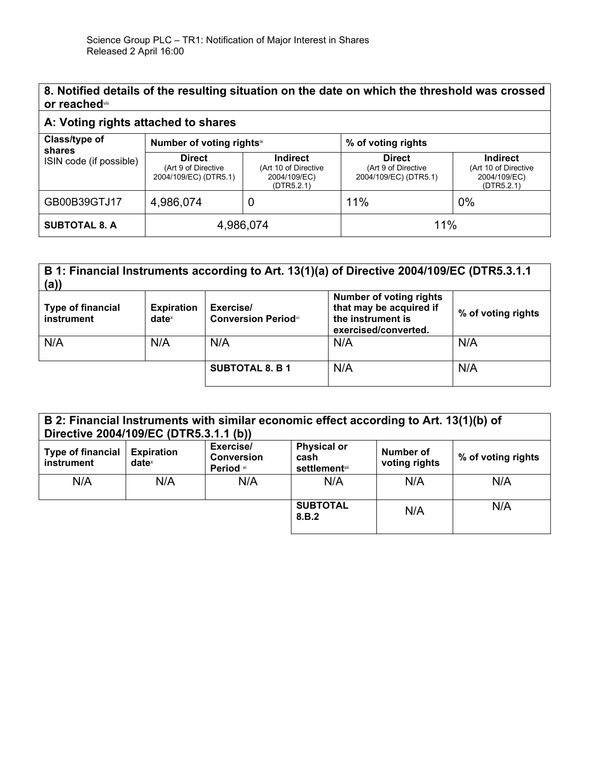| 8. Notified details of the resulting situation on the date on which the threshold was crossed |
|-----------------------------------------------------------------------------------------------|
| or reached                                                                                    |

## **A: Voting rights attached to shares**

| Class/type of<br>shares | Number of voting rights <sup>ix</sup>                         |                                                                       | % of voting rights                                            |                                                                       |
|-------------------------|---------------------------------------------------------------|-----------------------------------------------------------------------|---------------------------------------------------------------|-----------------------------------------------------------------------|
| ISIN code (if possible) | <b>Direct</b><br>(Art 9 of Directive<br>2004/109/EC) (DTR5.1) | <b>Indirect</b><br>(Art 10 of Directive<br>2004/109/EC)<br>(DTR5.2.1) | <b>Direct</b><br>(Art 9 of Directive<br>2004/109/EC) (DTR5.1) | <b>Indirect</b><br>(Art 10 of Directive<br>2004/109/EC)<br>(DTR5.2.1) |
| GB00B39GTJ17            | 4,986,074                                                     |                                                                       | 11%                                                           | 0%                                                                    |
| <b>SUBTOTAL 8. A</b>    | 4,986,074                                                     |                                                                       | 11%                                                           |                                                                       |

| B 1: Financial Instruments according to Art. 13(1)(a) of Directive 2004/109/EC (DTR5.3.1.1<br>(a) |                                      |                                         |                                                                                                        |                    |
|---------------------------------------------------------------------------------------------------|--------------------------------------|-----------------------------------------|--------------------------------------------------------------------------------------------------------|--------------------|
| <b>Type of financial</b><br>instrument                                                            | <b>Expiration</b><br>$date^{\times}$ | Exercise/<br><b>Conversion Periodxi</b> | <b>Number of voting rights</b><br>that may be acquired if<br>the instrument is<br>exercised/converted. | % of voting rights |
| N/A                                                                                               | N/A                                  | N/A                                     | N/A                                                                                                    | N/A                |
|                                                                                                   |                                      | <b>SUBTOTAL 8. B 1</b>                  | N/A                                                                                                    | N/A                |

| B 2: Financial Instruments with similar economic effect according to Art. 13(1)(b) of<br>Directive 2004/109/EC (DTR5.3.1.1 (b)) |                                        |                                             |                                                     |                            |                    |
|---------------------------------------------------------------------------------------------------------------------------------|----------------------------------------|---------------------------------------------|-----------------------------------------------------|----------------------------|--------------------|
| <b>Type of financial</b><br>instrument                                                                                          | <b>Expiration</b><br>date <sup>x</sup> | Exercise/<br><b>Conversion</b><br>Period xi | <b>Physical or</b><br>cash<br><b>settlement</b> xii | Number of<br>voting rights | % of voting rights |
| N/A                                                                                                                             | N/A                                    | N/A                                         | N/A                                                 | N/A                        | N/A                |
|                                                                                                                                 |                                        |                                             | <b>SUBTOTAL</b><br>8.B.2                            | N/A                        | N/A                |